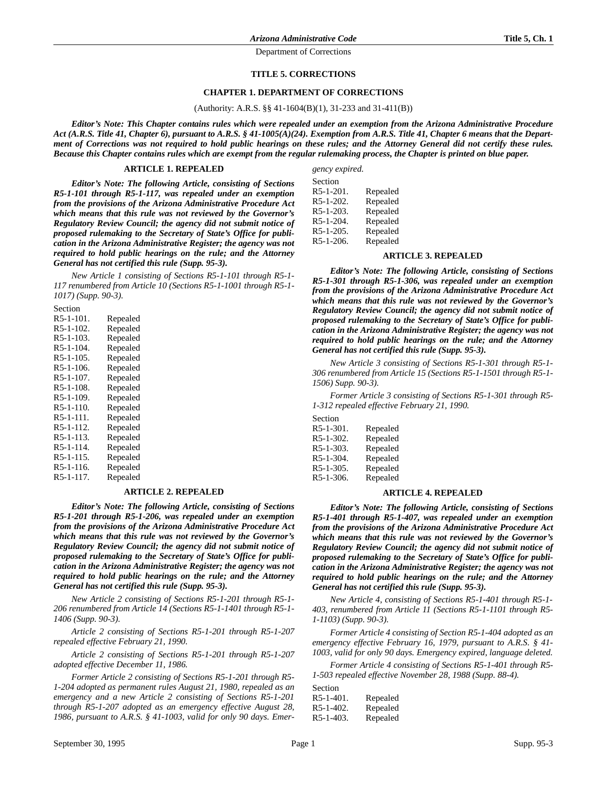#### **TITLE 5. CORRECTIONS**

## **CHAPTER 1. DEPARTMENT OF CORRECTIONS**

#### (Authority: A.R.S. §§ 41-1604(B)(1), 31-233 and 31-411(B))

*Editor's Note: This Chapter contains rules which were repealed under an exemption from the Arizona Administrative Procedure Act (A.R.S. Title 41, Chapter 6), pursuant to A.R.S. § 41-1005(A)(24). Exemption from A.R.S. Title 41, Chapter 6 means that the Department of Corrections was not required to hold public hearings on these rules; and the Attorney General did not certify these rules. Because this Chapter contains rules which are exempt from the regular rulemaking process, the Chapter is printed on blue paper.*

#### **ARTICLE 1. REPEALED**

*Editor's Note: The following Article, consisting of Sections R5-1-101 through R5-1-117, was repealed under an exemption from the provisions of the Arizona Administrative Procedure Act which means that this rule was not reviewed by the Governor's Regulatory Review Council; the agency did not submit notice of proposed rulemaking to the Secretary of State's Office for publication in the Arizona Administrative Register; the agency was not required to hold public hearings on the rule; and the Attorney General has not certified this rule (Supp. 95-3).*

*New Article 1 consisting of Sections R5-1-101 through R5-1- 117 renumbered from Article 10 (Sections R5-1-1001 through R5-1- 1017) (Supp. 90-3).*

Section R5-1-101. Repealed R5-1-102. Repealed R5-1-103. Repealed R5-1-104. Repealed R5-1-105. Repealed R5-1-106. Repealed R5-1-107. Repealed R5-1-108. Repealed R5-1-109. Repealed R5-1-110. Repealed R5-1-111. Repealed<br>R5-1-112. Repealed  $R5-1-112.$ R5-1-113. Repealed R5-1-114. Repealed R5-1-115. Repealed R5-1-116. Repealed R5-1-117. Repealed

#### **ARTICLE 2. REPEALED**

*Editor's Note: The following Article, consisting of Sections R5-1-201 through R5-1-206, was repealed under an exemption from the provisions of the Arizona Administrative Procedure Act which means that this rule was not reviewed by the Governor's Regulatory Review Council; the agency did not submit notice of proposed rulemaking to the Secretary of State's Office for publication in the Arizona Administrative Register; the agency was not required to hold public hearings on the rule; and the Attorney General has not certified this rule (Supp. 95-3).*

*New Article 2 consisting of Sections R5-1-201 through R5-1- 206 renumbered from Article 14 (Sections R5-1-1401 through R5-1- 1406 (Supp. 90-3).*

*Article 2 consisting of Sections R5-1-201 through R5-1-207 repealed effective February 21, 1990.*

*Article 2 consisting of Sections R5-1-201 through R5-1-207 adopted effective December 11, 1986.*

*Former Article 2 consisting of Sections R5-1-201 through R5- 1-204 adopted as permanent rules August 21, 1980, repealed as an emergency and a new Article 2 consisting of Sections R5-1-201 through R5-1-207 adopted as an emergency effective August 28, 1986, pursuant to A.R.S. § 41-1003, valid for only 90 days. Emer-* *gency expired.*

| Section   |          |
|-----------|----------|
| R5-1-201. | Repealed |
| R5-1-202. | Repealed |
| R5-1-203. | Repealed |
| R5-1-204. | Repealed |
| R5-1-205. | Repealed |
| R5-1-206. | Repealed |

#### **ARTICLE 3. REPEALED**

*Editor's Note: The following Article, consisting of Sections R5-1-301 through R5-1-306, was repealed under an exemption from the provisions of the Arizona Administrative Procedure Act which means that this rule was not reviewed by the Governor's Regulatory Review Council; the agency did not submit notice of proposed rulemaking to the Secretary of State's Office for publication in the Arizona Administrative Register; the agency was not required to hold public hearings on the rule; and the Attorney General has not certified this rule (Supp. 95-3).*

*New Article 3 consisting of Sections R5-1-301 through R5-1- 306 renumbered from Article 15 (Sections R5-1-1501 through R5-1- 1506) Supp. 90-3).*

*Former Article 3 consisting of Sections R5-1-301 through R5- 1-312 repealed effective February 21, 1990.*

Section R5-1-301. Repealed R5-1-302. Repealed<br>R5-1-303. Repealed Repealed R5-1-304. Repealed R5-1-305. Repealed R5-1-306. Repealed

## **ARTICLE 4. REPEALED**

*Editor's Note: The following Article, consisting of Sections R5-1-401 through R5-1-407, was repealed under an exemption from the provisions of the Arizona Administrative Procedure Act which means that this rule was not reviewed by the Governor's Regulatory Review Council; the agency did not submit notice of proposed rulemaking to the Secretary of State's Office for publication in the Arizona Administrative Register; the agency was not required to hold public hearings on the rule; and the Attorney General has not certified this rule (Supp. 95-3).*

*New Article 4, consisting of Sections R5-1-401 through R5-1- 403, renumbered from Article 11 (Sections R5-1-1101 through R5- 1-1103) (Supp. 90-3).*

*Former Article 4 consisting of Section R5-1-404 adopted as an emergency effective February 16, 1979, pursuant to A.R.S. § 41- 1003, valid for only 90 days. Emergency expired, language deleted.*

*Former Article 4 consisting of Sections R5-1-401 through R5- 1-503 repealed effective November 28, 1988 (Supp. 88-4).*

| Section         |          |
|-----------------|----------|
| $R5-1-401$ .    | Repealed |
| $R_{5-1-402}$ . | Repealed |
| $R5-1-403$ .    | Repealed |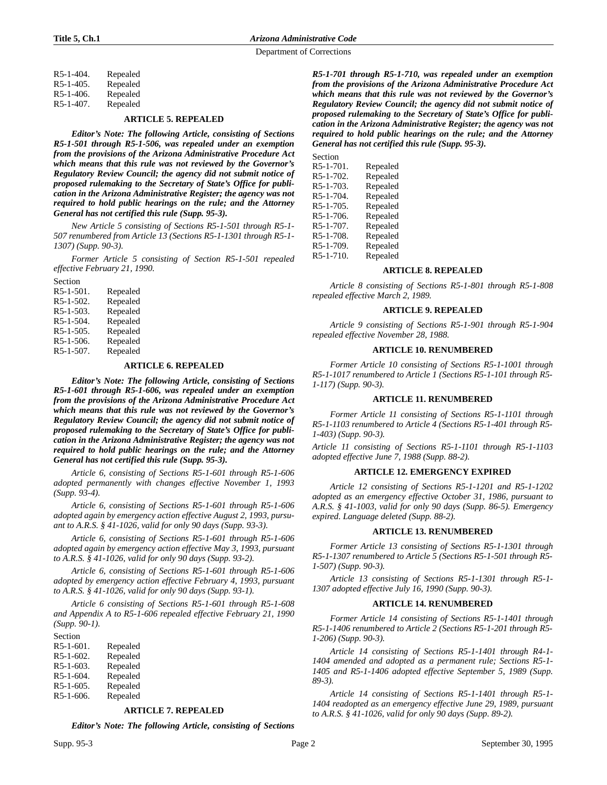| R5-1-404. | Repealed |
|-----------|----------|
| R5-1-405. | Repealed |
| R5-1-406. | Repealed |
| R5-1-407. | Repealed |

## **ARTICLE 5. REPEALED**

*Editor's Note: The following Article, consisting of Sections R5-1-501 through R5-1-506, was repealed under an exemption from the provisions of the Arizona Administrative Procedure Act which means that this rule was not reviewed by the Governor's Regulatory Review Council; the agency did not submit notice of proposed rulemaking to the Secretary of State's Office for publication in the Arizona Administrative Register; the agency was not required to hold public hearings on the rule; and the Attorney General has not certified this rule (Supp. 95-3).*

*New Article 5 consisting of Sections R5-1-501 through R5-1- 507 renumbered from Article 13 (Sections R5-1-1301 through R5-1- 1307) (Supp. 90-3).*

*Former Article 5 consisting of Section R5-1-501 repealed effective February 21, 1990.*

| Section      |          |
|--------------|----------|
| $R5-1-501$ . | Repealed |
| R5-1-502.    | Repealed |
| $R5-1-503$ . | Repealed |
| R5-1-504.    | Repealed |
| $R5-1-505$ . | Repealed |
| $R5-1-506$ . | Repealed |
| R5-1-507.    | Repealed |

#### **ARTICLE 6. REPEALED**

*Editor's Note: The following Article, consisting of Sections R5-1-601 through R5-1-606, was repealed under an exemption from the provisions of the Arizona Administrative Procedure Act which means that this rule was not reviewed by the Governor's Regulatory Review Council; the agency did not submit notice of proposed rulemaking to the Secretary of State's Office for publication in the Arizona Administrative Register; the agency was not required to hold public hearings on the rule; and the Attorney General has not certified this rule (Supp. 95-3).*

*Article 6, consisting of Sections R5-1-601 through R5-1-606 adopted permanently with changes effective November 1, 1993 (Supp. 93-4).*

*Article 6, consisting of Sections R5-1-601 through R5-1-606 adopted again by emergency action effective August 2, 1993, pursuant to A.R.S. § 41-1026, valid for only 90 days (Supp. 93-3).*

*Article 6, consisting of Sections R5-1-601 through R5-1-606 adopted again by emergency action effective May 3, 1993, pursuant to A.R.S. § 41-1026, valid for only 90 days (Supp. 93-2).*

*Article 6, consisting of Sections R5-1-601 through R5-1-606 adopted by emergency action effective February 4, 1993, pursuant to A.R.S. § 41-1026, valid for only 90 days (Supp. 93-1).*

*Article 6 consisting of Sections R5-1-601 through R5-1-608 and Appendix A to R5-1-606 repealed effective February 21, 1990 (Supp. 90-1).*

| Section      |          |
|--------------|----------|
| $R5-1-601$ . | Repealed |
| $R5-1-602$ . | Repealed |
| $R5-1-603$ . | Repealed |
| $R5-1-604.$  | Repealed |
| $R5-1-605$ . | Repealed |
| $R5-1-606$ . | Repealed |

## **ARTICLE 7. REPEALED**

*Editor's Note: The following Article, consisting of Sections*

*R5-1-701 through R5-1-710, was repealed under an exemption from the provisions of the Arizona Administrative Procedure Act which means that this rule was not reviewed by the Governor's Regulatory Review Council; the agency did not submit notice of proposed rulemaking to the Secretary of State's Office for publication in the Arizona Administrative Register; the agency was not required to hold public hearings on the rule; and the Attorney General has not certified this rule (Supp. 95-3).*

| Section   |          |
|-----------|----------|
| R5-1-701. | Repealed |
| R5-1-702. | Repealed |
| R5-1-703. | Repealed |
| R5-1-704. | Repealed |
| R5-1-705. | Repealed |
| R5-1-706. | Repealed |
| R5-1-707. | Repealed |
| R5-1-708. | Repealed |
| R5-1-709. | Repealed |
| R5-1-710. | Repealed |
|           |          |

# **ARTICLE 8. REPEALED**

*Article 8 consisting of Sections R5-1-801 through R5-1-808 repealed effective March 2, 1989.*

## **ARTICLE 9. REPEALED**

*Article 9 consisting of Sections R5-1-901 through R5-1-904 repealed effective November 28, 1988.*

#### **ARTICLE 10. RENUMBERED**

*Former Article 10 consisting of Sections R5-1-1001 through R5-1-1017 renumbered to Article 1 (Sections R5-1-101 through R5- 1-117) (Supp. 90-3).*

## **ARTICLE 11. RENUMBERED**

*Former Article 11 consisting of Sections R5-1-1101 through R5-1-1103 renumbered to Article 4 (Sections R5-1-401 through R5- 1-403) (Supp. 90-3).*

*Article 11 consisting of Sections R5-1-1101 through R5-1-1103 adopted effective June 7, 1988 (Supp. 88-2).*

## **ARTICLE 12. EMERGENCY EXPIRED**

*Article 12 consisting of Sections R5-1-1201 and R5-1-1202 adopted as an emergency effective October 31, 1986, pursuant to A.R.S. § 41-1003, valid for only 90 days (Supp. 86-5). Emergency expired. Language deleted (Supp. 88-2).*

## **ARTICLE 13. RENUMBERED**

*Former Article 13 consisting of Sections R5-1-1301 through R5-1-1307 renumbered to Article 5 (Sections R5-1-501 through R5- 1-507) (Supp. 90-3).*

*Article 13 consisting of Sections R5-1-1301 through R5-1- 1307 adopted effective July 16, 1990 (Supp. 90-3).*

## **ARTICLE 14. RENUMBERED**

*Former Article 14 consisting of Sections R5-1-1401 through R5-1-1406 renumbered to Article 2 (Sections R5-1-201 through R5- 1-206) (Supp. 90-3).*

*Article 14 consisting of Sections R5-1-1401 through R4-1- 1404 amended and adopted as a permanent rule; Sections R5-1- 1405 and R5-1-1406 adopted effective September 5, 1989 (Supp. 89-3).*

*Article 14 consisting of Sections R5-1-1401 through R5-1- 1404 readopted as an emergency effective June 29, 1989, pursuant to A.R.S. § 41-1026, valid for only 90 days (Supp. 89-2).*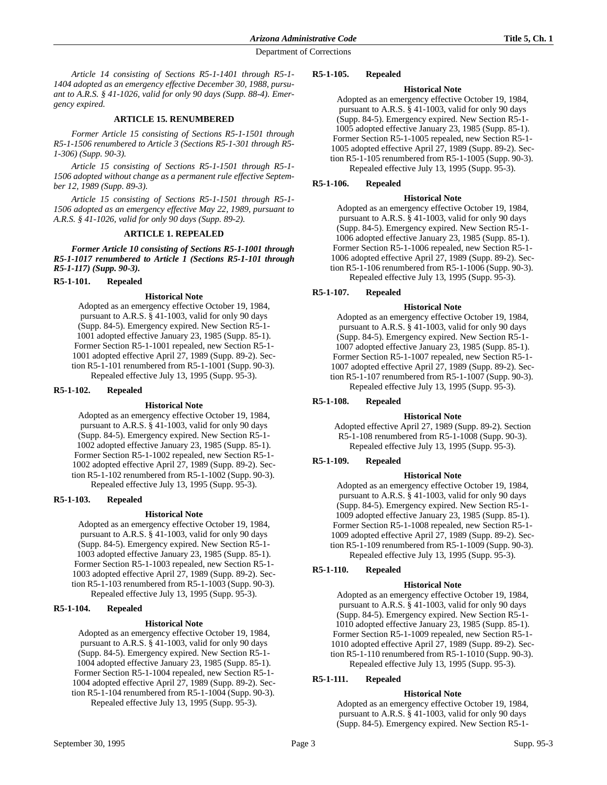*Article 14 consisting of Sections R5-1-1401 through R5-1- 1404 adopted as an emergency effective December 30, 1988, pursuant to A.R.S. § 41-1026, valid for only 90 days (Supp. 88-4). Emergency expired.*

## **ARTICLE 15. RENUMBERED**

*Former Article 15 consisting of Sections R5-1-1501 through R5-1-1506 renumbered to Article 3 (Sections R5-1-301 through R5- 1-306) (Supp. 90-3).*

*Article 15 consisting of Sections R5-1-1501 through R5-1- 1506 adopted without change as a permanent rule effective September 12, 1989 (Supp. 89-3).*

*Article 15 consisting of Sections R5-1-1501 through R5-1- 1506 adopted as an emergency effective May 22, 1989, pursuant to A.R.S. § 41-1026, valid for only 90 days (Supp. 89-2).*

#### **ARTICLE 1. REPEALED**

*Former Article 10 consisting of Sections R5-1-1001 through R5-1-1017 renumbered to Article 1 (Sections R5-1-101 through R5-1-117) (Supp. 90-3).*

## **R5-1-101. Repealed**

#### **Historical Note**

Adopted as an emergency effective October 19, 1984, pursuant to A.R.S. § 41-1003, valid for only 90 days (Supp. 84-5). Emergency expired. New Section R5-1- 1001 adopted effective January 23, 1985 (Supp. 85-1). Former Section R5-1-1001 repealed, new Section R5-1- 1001 adopted effective April 27, 1989 (Supp. 89-2). Section R5-1-101 renumbered from R5-1-1001 (Supp. 90-3). Repealed effective July 13, 1995 (Supp. 95-3).

#### **R5-1-102. Repealed**

#### **Historical Note**

Adopted as an emergency effective October 19, 1984, pursuant to A.R.S. § 41-1003, valid for only 90 days (Supp. 84-5). Emergency expired. New Section R5-1- 1002 adopted effective January 23, 1985 (Supp. 85-1). Former Section R5-1-1002 repealed, new Section R5-1- 1002 adopted effective April 27, 1989 (Supp. 89-2). Section R5-1-102 renumbered from R5-1-1002 (Supp. 90-3). Repealed effective July 13, 1995 (Supp. 95-3).

## **R5-1-103. Repealed**

## **Historical Note**

Adopted as an emergency effective October 19, 1984, pursuant to A.R.S. § 41-1003, valid for only 90 days (Supp. 84-5). Emergency expired. New Section R5-1- 1003 adopted effective January 23, 1985 (Supp. 85-1). Former Section R5-1-1003 repealed, new Section R5-1- 1003 adopted effective April 27, 1989 (Supp. 89-2). Section R5-1-103 renumbered from R5-1-1003 (Supp. 90-3). Repealed effective July 13, 1995 (Supp. 95-3).

## **R5-1-104. Repealed**

## **Historical Note**

Adopted as an emergency effective October 19, 1984, pursuant to A.R.S. § 41-1003, valid for only 90 days (Supp. 84-5). Emergency expired. New Section R5-1- 1004 adopted effective January 23, 1985 (Supp. 85-1). Former Section R5-1-1004 repealed, new Section R5-1- 1004 adopted effective April 27, 1989 (Supp. 89-2). Section R5-1-104 renumbered from R5-1-1004 (Supp. 90-3). Repealed effective July 13, 1995 (Supp. 95-3).

#### **R5-1-105. Repealed**

## **Historical Note**

Adopted as an emergency effective October 19, 1984, pursuant to A.R.S. § 41-1003, valid for only 90 days (Supp. 84-5). Emergency expired. New Section R5-1- 1005 adopted effective January 23, 1985 (Supp. 85-1). Former Section R5-1-1005 repealed, new Section R5-1- 1005 adopted effective April 27, 1989 (Supp. 89-2). Section R5-1-105 renumbered from R5-1-1005 (Supp. 90-3). Repealed effective July 13, 1995 (Supp. 95-3).

## **R5-1-106. Repealed**

#### **Historical Note**

Adopted as an emergency effective October 19, 1984, pursuant to A.R.S. § 41-1003, valid for only 90 days (Supp. 84-5). Emergency expired. New Section R5-1- 1006 adopted effective January 23, 1985 (Supp. 85-1). Former Section R5-1-1006 repealed, new Section R5-1- 1006 adopted effective April 27, 1989 (Supp. 89-2). Section R5-1-106 renumbered from R5-1-1006 (Supp. 90-3). Repealed effective July 13, 1995 (Supp. 95-3).

## **R5-1-107. Repealed**

#### **Historical Note**

Adopted as an emergency effective October 19, 1984, pursuant to A.R.S. § 41-1003, valid for only 90 days (Supp. 84-5). Emergency expired. New Section R5-1- 1007 adopted effective January 23, 1985 (Supp. 85-1). Former Section R5-1-1007 repealed, new Section R5-1- 1007 adopted effective April 27, 1989 (Supp. 89-2). Section R5-1-107 renumbered from R5-1-1007 (Supp. 90-3). Repealed effective July 13, 1995 (Supp. 95-3).

## **R5-1-108. Repealed**

## **Historical Note**

Adopted effective April 27, 1989 (Supp. 89-2). Section R5-1-108 renumbered from R5-1-1008 (Supp. 90-3). Repealed effective July 13, 1995 (Supp. 95-3).

## **R5-1-109. Repealed**

## **Historical Note**

Adopted as an emergency effective October 19, 1984, pursuant to A.R.S. § 41-1003, valid for only 90 days (Supp. 84-5). Emergency expired. New Section R5-1- 1009 adopted effective January 23, 1985 (Supp. 85-1). Former Section R5-1-1008 repealed, new Section R5-1- 1009 adopted effective April 27, 1989 (Supp. 89-2). Section R5-1-109 renumbered from R5-1-1009 (Supp. 90-3). Repealed effective July 13, 1995 (Supp. 95-3).

# **R5-1-110. Repealed**

## **Historical Note**

Adopted as an emergency effective October 19, 1984, pursuant to A.R.S. § 41-1003, valid for only 90 days (Supp. 84-5). Emergency expired. New Section R5-1- 1010 adopted effective January 23, 1985 (Supp. 85-1). Former Section R5-1-1009 repealed, new Section R5-1- 1010 adopted effective April 27, 1989 (Supp. 89-2). Section R5-1-110 renumbered from R5-1-1010 (Supp. 90-3). Repealed effective July 13, 1995 (Supp. 95-3).

## **R5-1-111. Repealed**

## **Historical Note**

Adopted as an emergency effective October 19, 1984, pursuant to A.R.S. § 41-1003, valid for only 90 days (Supp. 84-5). Emergency expired. New Section R5-1-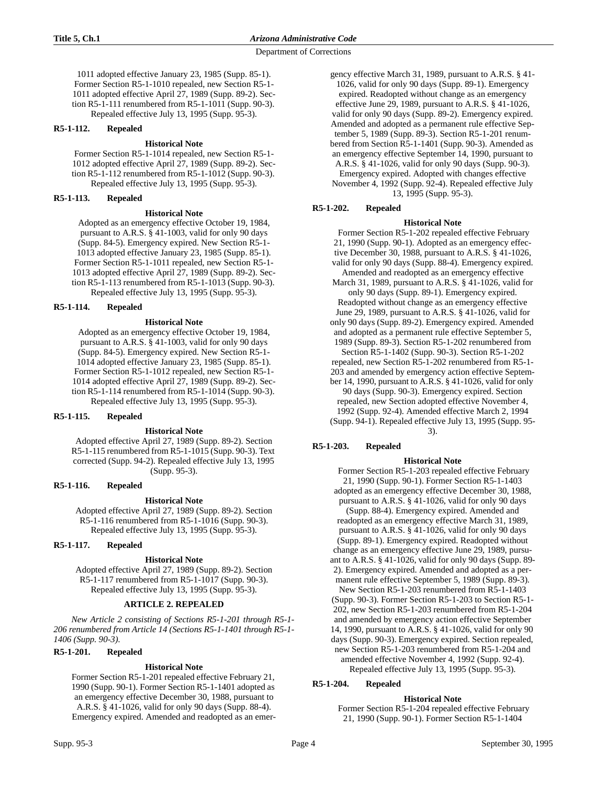1011 adopted effective January 23, 1985 (Supp. 85-1). Former Section R5-1-1010 repealed, new Section R5-1- 1011 adopted effective April 27, 1989 (Supp. 89-2). Section R5-1-111 renumbered from R5-1-1011 (Supp. 90-3). Repealed effective July 13, 1995 (Supp. 95-3).

## **R5-1-112. Repealed**

## **Historical Note**

Former Section R5-1-1014 repealed, new Section R5-1- 1012 adopted effective April 27, 1989 (Supp. 89-2). Section R5-1-112 renumbered from R5-1-1012 (Supp. 90-3). Repealed effective July 13, 1995 (Supp. 95-3).

## **R5-1-113. Repealed**

## **Historical Note**

Adopted as an emergency effective October 19, 1984, pursuant to A.R.S. § 41-1003, valid for only 90 days (Supp. 84-5). Emergency expired. New Section R5-1- 1013 adopted effective January 23, 1985 (Supp. 85-1). Former Section R5-1-1011 repealed, new Section R5-1- 1013 adopted effective April 27, 1989 (Supp. 89-2). Section R5-1-113 renumbered from R5-1-1013 (Supp. 90-3). Repealed effective July 13, 1995 (Supp. 95-3).

## **R5-1-114. Repealed**

## **Historical Note**

Adopted as an emergency effective October 19, 1984, pursuant to A.R.S. § 41-1003, valid for only 90 days (Supp. 84-5). Emergency expired. New Section R5-1- 1014 adopted effective January 23, 1985 (Supp. 85-1). Former Section R5-1-1012 repealed, new Section R5-1- 1014 adopted effective April 27, 1989 (Supp. 89-2). Section R5-1-114 renumbered from R5-1-1014 (Supp. 90-3). Repealed effective July 13, 1995 (Supp. 95-3).

## **R5-1-115. Repealed**

# **Historical Note**

Adopted effective April 27, 1989 (Supp. 89-2). Section R5-1-115 renumbered from R5-1-1015 (Supp. 90-3). Text corrected (Supp. 94-2). Repealed effective July 13, 1995 (Supp. 95-3).

## **R5-1-116. Repealed**

# **Historical Note**

Adopted effective April 27, 1989 (Supp. 89-2). Section R5-1-116 renumbered from R5-1-1016 (Supp. 90-3). Repealed effective July 13, 1995 (Supp. 95-3).

# **R5-1-117. Repealed**

# **Historical Note**

Adopted effective April 27, 1989 (Supp. 89-2). Section R5-1-117 renumbered from R5-1-1017 (Supp. 90-3). Repealed effective July 13, 1995 (Supp. 95-3).

# **ARTICLE 2. REPEALED**

*New Article 2 consisting of Sections R5-1-201 through R5-1- 206 renumbered from Article 14 (Sections R5-1-1401 through R5-1- 1406 (Supp. 90-3).*

# **R5-1-201. Repealed**

## **Historical Note**

Former Section R5-1-201 repealed effective February 21, 1990 (Supp. 90-1). Former Section R5-1-1401 adopted as an emergency effective December 30, 1988, pursuant to A.R.S. § 41-1026, valid for only 90 days (Supp. 88-4). Emergency expired. Amended and readopted as an emergency effective March 31, 1989, pursuant to A.R.S. § 41- 1026, valid for only 90 days (Supp. 89-1). Emergency expired. Readopted without change as an emergency effective June 29, 1989, pursuant to A.R.S. § 41-1026, valid for only 90 days (Supp. 89-2). Emergency expired. Amended and adopted as a permanent rule effective September 5, 1989 (Supp. 89-3). Section R5-1-201 renumbered from Section R5-1-1401 (Supp. 90-3). Amended as an emergency effective September 14, 1990, pursuant to A.R.S. § 41-1026, valid for only 90 days (Supp. 90-3). Emergency expired. Adopted with changes effective November 4, 1992 (Supp. 92-4). Repealed effective July 13, 1995 (Supp. 95-3).

# **R5-1-202. Repealed**

## **Historical Note**

 Former Section R5-1-202 repealed effective February 21, 1990 (Supp. 90-1). Adopted as an emergency effective December 30, 1988, pursuant to A.R.S. § 41-1026, valid for only 90 days (Supp. 88-4). Emergency expired. Amended and readopted as an emergency effective March 31, 1989, pursuant to A.R.S. § 41-1026, valid for only 90 days (Supp. 89-1). Emergency expired. Readopted without change as an emergency effective June 29, 1989, pursuant to A.R.S. § 41-1026, valid for only 90 days (Supp. 89-2). Emergency expired. Amended and adopted as a permanent rule effective September 5, 1989 (Supp. 89-3). Section R5-1-202 renumbered from Section R5-1-1402 (Supp. 90-3). Section R5-1-202 repealed, new Section R5-1-202 renumbered from R5-1- 203 and amended by emergency action effective September 14, 1990, pursuant to A.R.S. § 41-1026, valid for only 90 days (Supp. 90-3). Emergency expired. Section repealed, new Section adopted effective November 4,

1992 (Supp. 92-4). Amended effective March 2, 1994 (Supp. 94-1). Repealed effective July 13, 1995 (Supp. 95- 3).

# **R5-1-203. Repealed**

# **Historical Note**

 Former Section R5-1-203 repealed effective February 21, 1990 (Supp. 90-1). Former Section R5-1-1403 adopted as an emergency effective December 30, 1988, pursuant to A.R.S. § 41-1026, valid for only 90 days (Supp. 88-4). Emergency expired. Amended and readopted as an emergency effective March 31, 1989, pursuant to A.R.S. § 41-1026, valid for only 90 days (Supp. 89-1). Emergency expired. Readopted without change as an emergency effective June 29, 1989, pursuant to A.R.S. § 41-1026, valid for only 90 days (Supp. 89- 2). Emergency expired. Amended and adopted as a permanent rule effective September 5, 1989 (Supp. 89-3). New Section R5-1-203 renumbered from R5-1-1403 (Supp. 90-3). Former Section R5-1-203 to Section R5-1- 202, new Section R5-1-203 renumbered from R5-1-204 and amended by emergency action effective September 14, 1990, pursuant to A.R.S. § 41-1026, valid for only 90 days (Supp. 90-3). Emergency expired. Section repealed, new Section R5-1-203 renumbered from R5-1-204 and amended effective November 4, 1992 (Supp. 92-4). Repealed effective July 13, 1995 (Supp. 95-3).

# **R5-1-204. Repealed**

# **Historical Note**

 Former Section R5-1-204 repealed effective February 21, 1990 (Supp. 90-1). Former Section R5-1-1404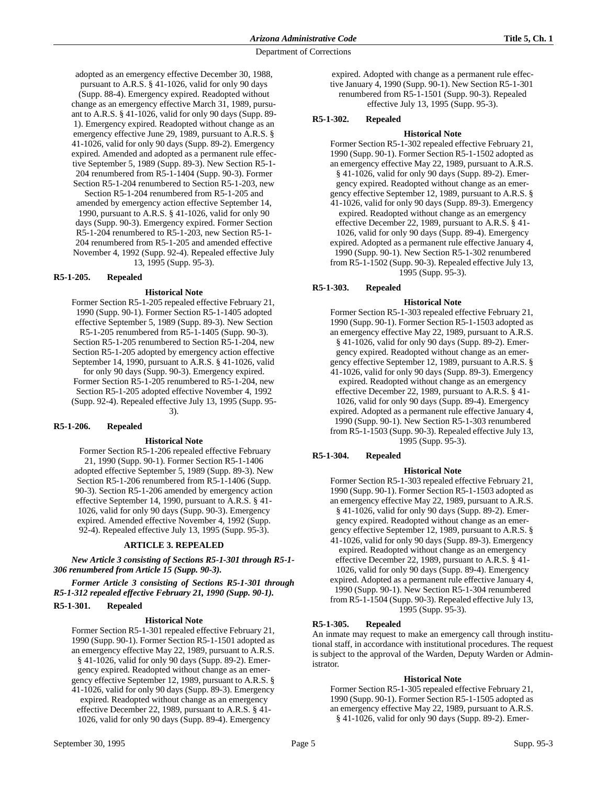adopted as an emergency effective December 30, 1988, pursuant to A.R.S. § 41-1026, valid for only 90 days (Supp. 88-4). Emergency expired. Readopted without change as an emergency effective March 31, 1989, pursuant to A.R.S. § 41-1026, valid for only 90 days (Supp. 89- 1). Emergency expired. Readopted without change as an emergency effective June 29, 1989, pursuant to A.R.S. § 41-1026, valid for only 90 days (Supp. 89-2). Emergency expired. Amended and adopted as a permanent rule effective September 5, 1989 (Supp. 89-3). New Section R5-1- 204 renumbered from R5-1-1404 (Supp. 90-3). Former Section R5-1-204 renumbered to Section R5-1-203, new

Section R5-1-204 renumbered from R5-1-205 and amended by emergency action effective September 14, 1990, pursuant to A.R.S. § 41-1026, valid for only 90 days (Supp. 90-3). Emergency expired. Former Section R5-1-204 renumbered to R5-1-203, new Section R5-1- 204 renumbered from R5-1-205 and amended effective November 4, 1992 (Supp. 92-4). Repealed effective July 13, 1995 (Supp. 95-3).

# **R5-1-205. Repealed**

## **Historical Note**

Former Section R5-1-205 repealed effective February 21, 1990 (Supp. 90-1). Former Section R5-1-1405 adopted effective September 5, 1989 (Supp. 89-3). New Section R5-1-205 renumbered from R5-1-1405 (Supp. 90-3). Section R5-1-205 renumbered to Section R5-1-204, new Section R5-1-205 adopted by emergency action effective September 14, 1990, pursuant to A.R.S. § 41-1026, valid for only 90 days (Supp. 90-3). Emergency expired. Former Section R5-1-205 renumbered to R5-1-204, new Section R5-1-205 adopted effective November 4, 1992 (Supp. 92-4). Repealed effective July 13, 1995 (Supp. 95- 3).

## **R5-1-206. Repealed**

#### **Historical Note**

 Former Section R5-1-206 repealed effective February 21, 1990 (Supp. 90-1). Former Section R5-1-1406 adopted effective September 5, 1989 (Supp. 89-3). New Section R5-1-206 renumbered from R5-1-1406 (Supp. 90-3). Section R5-1-206 amended by emergency action effective September 14, 1990, pursuant to A.R.S. § 41- 1026, valid for only 90 days (Supp. 90-3). Emergency expired. Amended effective November 4, 1992 (Supp. 92-4). Repealed effective July 13, 1995 (Supp. 95-3).

## **ARTICLE 3. REPEALED**

*New Article 3 consisting of Sections R5-1-301 through R5-1- 306 renumbered from Article 15 (Supp. 90-3).*

*Former Article 3 consisting of Sections R5-1-301 through R5-1-312 repealed effective February 21, 1990 (Supp. 90-1).*

# **R5-1-301. Repealed**

## **Historical Note**

Former Section R5-1-301 repealed effective February 21, 1990 (Supp. 90-1). Former Section R5-1-1501 adopted as an emergency effective May 22, 1989, pursuant to A.R.S. § 41-1026, valid for only 90 days (Supp. 89-2). Emergency expired. Readopted without change as an emergency effective September 12, 1989, pursuant to A.R.S. §

41-1026, valid for only 90 days (Supp. 89-3). Emergency expired. Readopted without change as an emergency effective December 22, 1989, pursuant to A.R.S. § 41- 1026, valid for only 90 days (Supp. 89-4). Emergency

expired. Adopted with change as a permanent rule effective January 4, 1990 (Supp. 90-1). New Section R5-1-301 renumbered from R5-1-1501 (Supp. 90-3). Repealed effective July 13, 1995 (Supp. 95-3).

## **R5-1-302. Repealed**

#### **Historical Note**

Former Section R5-1-302 repealed effective February 21, 1990 (Supp. 90-1). Former Section R5-1-1502 adopted as an emergency effective May 22, 1989, pursuant to A.R.S. § 41-1026, valid for only 90 days (Supp. 89-2). Emergency expired. Readopted without change as an emergency effective September 12, 1989, pursuant to A.R.S. § 41-1026, valid for only 90 days (Supp. 89-3). Emergency expired. Readopted without change as an emergency effective December 22, 1989, pursuant to A.R.S. § 41- 1026, valid for only 90 days (Supp. 89-4). Emergency expired. Adopted as a permanent rule effective January 4, 1990 (Supp. 90-1). New Section R5-1-302 renumbered from R5-1-1502 (Supp. 90-3). Repealed effective July 13, 1995 (Supp. 95-3).

## **R5-1-303. Repealed**

#### **Historical Note**

Former Section R5-1-303 repealed effective February 21, 1990 (Supp. 90-1). Former Section R5-1-1503 adopted as an emergency effective May 22, 1989, pursuant to A.R.S. § 41-1026, valid for only 90 days (Supp. 89-2). Emergency expired. Readopted without change as an emergency effective September 12, 1989, pursuant to A.R.S. § 41-1026, valid for only 90 days (Supp. 89-3). Emergency expired. Readopted without change as an emergency effective December 22, 1989, pursuant to A.R.S. § 41- 1026, valid for only 90 days (Supp. 89-4). Emergency expired. Adopted as a permanent rule effective January 4, 1990 (Supp. 90-1). New Section R5-1-303 renumbered from R5-1-1503 (Supp. 90-3). Repealed effective July 13, 1995 (Supp. 95-3).

# **R5-1-304. Repealed**

## **Historical Note**

Former Section R5-1-303 repealed effective February 21, 1990 (Supp. 90-1). Former Section R5-1-1503 adopted as an emergency effective May 22, 1989, pursuant to A.R.S. § 41-1026, valid for only 90 days (Supp. 89-2). Emergency expired. Readopted without change as an emergency effective September 12, 1989, pursuant to A.R.S. § 41-1026, valid for only 90 days (Supp. 89-3). Emergency expired. Readopted without change as an emergency effective December 22, 1989, pursuant to A.R.S. § 41- 1026, valid for only 90 days (Supp. 89-4). Emergency expired. Adopted as a permanent rule effective January 4, 1990 (Supp. 90-1). New Section R5-1-304 renumbered from R5-1-1504 (Supp. 90-3). Repealed effective July 13, 1995 (Supp. 95-3).

## **R5-1-305. Repealed**

An inmate may request to make an emergency call through institutional staff, in accordance with institutional procedures. The request is subject to the approval of the Warden, Deputy Warden or Administrator.

## **Historical Note**

Former Section R5-1-305 repealed effective February 21, 1990 (Supp. 90-1). Former Section R5-1-1505 adopted as an emergency effective May 22, 1989, pursuant to A.R.S. § 41-1026, valid for only 90 days (Supp. 89-2). Emer-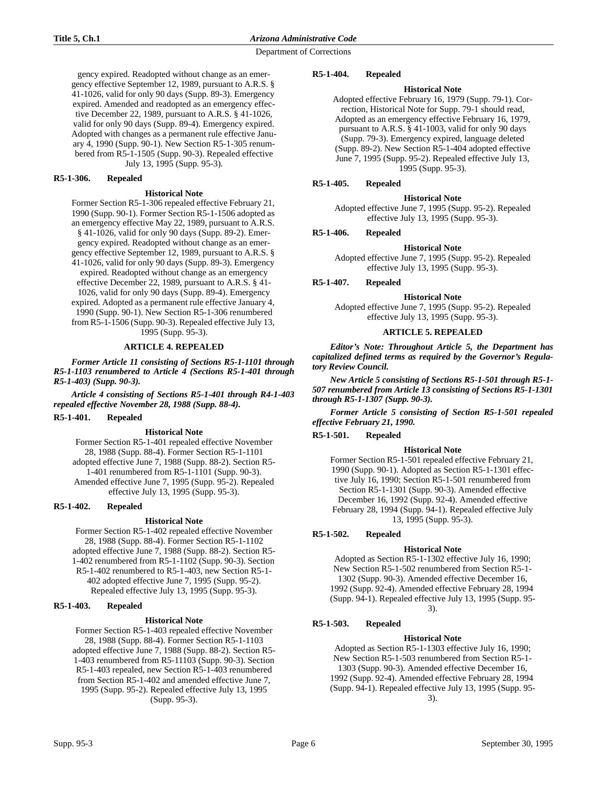gency expired. Readopted without change as an emergency effective September 12, 1989, pursuant to A.R.S. § 41-1026, valid for only 90 days (Supp. 89-3). Emergency expired. Amended and readopted as an emergency effective December 22, 1989, pursuant to A.R.S. § 41-1026, valid for only 90 days (Supp. 89-4). Emergency expired. Adopted with changes as a permanent rule effective January 4, 1990 (Supp. 90-1). New Section R5-1-305 renumbered from R5-1-1505 (Supp. 90-3). Repealed effective July 13, 1995 (Supp. 95-3).

# **R5-1-306. Repealed**

#### **Historical Note**

Former Section R5-1-306 repealed effective February 21, 1990 (Supp. 90-1). Former Section R5-1-1506 adopted as an emergency effective May 22, 1989, pursuant to A.R.S. § 41-1026, valid for only 90 days (Supp. 89-2). Emergency expired. Readopted without change as an emergency effective September 12, 1989, pursuant to A.R.S. § 41-1026, valid for only 90 days (Supp. 89-3). Emergency expired. Readopted without change as an emergency effective December 22, 1989, pursuant to A.R.S. § 41- 1026, valid for only 90 days (Supp. 89-4). Emergency expired. Adopted as a permanent rule effective January 4, 1990 (Supp. 90-1). New Section R5-1-306 renumbered from R5-1-1506 (Supp. 90-3). Repealed effective July 13, 1995 (Supp. 95-3).

# **ARTICLE 4. REPEALED**

*Former Article 11 consisting of Sections R5-1-1101 through R5-1-1103 renumbered to Article 4 (Sections R5-1-401 through R5-1-403) (Supp. 90-3).*

*Article 4 consisting of Sections R5-1-401 through R4-1-403 repealed effective November 28, 1988 (Supp. 88-4).*

#### **R5-1-401. Repealed**

## **Historical Note**

Former Section R5-1-401 repealed effective November 28, 1988 (Supp. 88-4). Former Section R5-1-1101 adopted effective June 7, 1988 (Supp. 88-2). Section R5- 1-401 renumbered from R5-1-1101 (Supp. 90-3). Amended effective June 7, 1995 (Supp. 95-2). Repealed effective July 13, 1995 (Supp. 95-3).

## **R5-1-402. Repealed**

## **Historical Note**

Former Section R5-1-402 repealed effective November 28, 1988 (Supp. 88-4). Former Section R5-1-1102 adopted effective June 7, 1988 (Supp. 88-2). Section R5- 1-402 renumbered from R5-1-1102 (Supp. 90-3). Section R5-1-402 renumbered to R5-1-403, new Section R5-1- 402 adopted effective June 7, 1995 (Supp. 95-2). Repealed effective July 13, 1995 (Supp. 95-3).

# **R5-1-403. Repealed**

#### **Historical Note**

Former Section R5-1-403 repealed effective November 28, 1988 (Supp. 88-4). Former Section R5-1-1103 adopted effective June 7, 1988 (Supp. 88-2). Section R5- 1-403 renumbered from R5-11103 (Supp. 90-3). Section R5-1-403 repealed, new Section R5-1-403 renumbered from Section R5-1-402 and amended effective June 7, 1995 (Supp. 95-2). Repealed effective July 13, 1995 (Supp. 95-3).

#### **R5-1-404. Repealed**

# **Historical Note**

Adopted effective February 16, 1979 (Supp. 79-1). Correction, Historical Note for Supp. 79-1 should read, Adopted as an emergency effective February 16, 1979, pursuant to A.R.S. § 41-1003, valid for only 90 days (Supp. 79-3). Emergency expired, language deleted (Supp. 89-2). New Section R5-1-404 adopted effective June 7, 1995 (Supp. 95-2). Repealed effective July 13, 1995 (Supp. 95-3).

# **R5-1-405. Repealed**

#### **Historical Note**

Adopted effective June 7, 1995 (Supp. 95-2). Repealed effective July 13, 1995 (Supp. 95-3).

## **R5-1-406. Repealed**

#### **Historical Note**

Adopted effective June 7, 1995 (Supp. 95-2). Repealed effective July 13, 1995 (Supp. 95-3).

#### **R5-1-407. Repealed**

## **Historical Note**

Adopted effective June 7, 1995 (Supp. 95-2). Repealed effective July 13, 1995 (Supp. 95-3).

#### **ARTICLE 5. REPEALED**

*Editor's Note: Throughout Article 5, the Department has capitalized defined terms as required by the Governor's Regulatory Review Council.*

*New Article 5 consisting of Sections R5-1-501 through R5-1- 507 renumbered from Article 13 consisting of Sections R5-1-1301 through R5-1-1307 (Supp. 90-3).*

*Former Article 5 consisting of Section R5-1-501 repealed effective February 21, 1990.*

## **R5-1-501. Repealed**

#### **Historical Note**

Former Section R5-1-501 repealed effective February 21, 1990 (Supp. 90-1). Adopted as Section R5-1-1301 effective July 16, 1990; Section R5-1-501 renumbered from Section R5-1-1301 (Supp. 90-3). Amended effective December 16, 1992 (Supp. 92-4). Amended effective February 28, 1994 (Supp. 94-1). Repealed effective July 13, 1995 (Supp. 95-3).

## **R5-1-502. Repealed**

#### **Historical Note**

Adopted as Section R5-1-1302 effective July 16, 1990; New Section R5-1-502 renumbered from Section R5-1- 1302 (Supp. 90-3). Amended effective December 16, 1992 (Supp. 92-4). Amended effective February 28, 1994 (Supp. 94-1). Repealed effective July 13, 1995 (Supp. 95- 3).

## **R5-1-503. Repealed**

## **Historical Note**

Adopted as Section R5-1-1303 effective July 16, 1990; New Section R5-1-503 renumbered from Section R5-1- 1303 (Supp. 90-3). Amended effective December 16, 1992 (Supp. 92-4). Amended effective February 28, 1994 (Supp. 94-1). Repealed effective July 13, 1995 (Supp. 95- 3).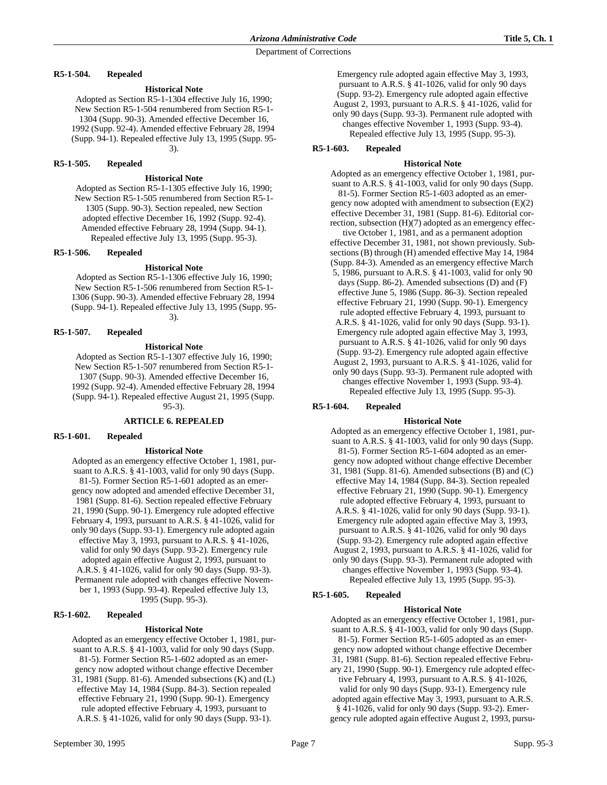**R5-1-504. Repealed**

#### **Historical Note**

Adopted as Section R5-1-1304 effective July 16, 1990; New Section R5-1-504 renumbered from Section R5-1- 1304 (Supp. 90-3). Amended effective December 16, 1992 (Supp. 92-4). Amended effective February 28, 1994 (Supp. 94-1). Repealed effective July 13, 1995 (Supp. 95- 3).

## **R5-1-505. Repealed**

#### **Historical Note**

Adopted as Section R5-1-1305 effective July 16, 1990; New Section R5-1-505 renumbered from Section R5-1- 1305 (Supp. 90-3). Section repealed, new Section adopted effective December 16, 1992 (Supp. 92-4). Amended effective February 28, 1994 (Supp. 94-1). Repealed effective July 13, 1995 (Supp. 95-3).

#### **R5-1-506. Repealed**

#### **Historical Note**

Adopted as Section R5-1-1306 effective July 16, 1990; New Section R5-1-506 renumbered from Section R5-1- 1306 (Supp. 90-3). Amended effective February 28, 1994 (Supp. 94-1). Repealed effective July 13, 1995 (Supp. 95- 3).

# **R5-1-507. Repealed**

# **Historical Note**

Adopted as Section R5-1-1307 effective July 16, 1990; New Section R5-1-507 renumbered from Section R5-1- 1307 (Supp. 90-3). Amended effective December 16, 1992 (Supp. 92-4). Amended effective February 28, 1994 (Supp. 94-1). Repealed effective August 21, 1995 (Supp.

95-3).

## **ARTICLE 6. REPEALED**

#### **R5-1-601. Repealed**

#### **Historical Note**

Adopted as an emergency effective October 1, 1981, pursuant to A.R.S. § 41-1003, valid for only 90 days (Supp. 81-5). Former Section R5-1-601 adopted as an emergency now adopted and amended effective December 31, 1981 (Supp. 81-6). Section repealed effective February 21, 1990 (Supp. 90-1). Emergency rule adopted effective February 4, 1993, pursuant to A.R.S. § 41-1026, valid for only 90 days (Supp. 93-1). Emergency rule adopted again effective May 3, 1993, pursuant to A.R.S. § 41-1026, valid for only 90 days (Supp. 93-2). Emergency rule adopted again effective August 2, 1993, pursuant to A.R.S. § 41-1026, valid for only 90 days (Supp. 93-3). Permanent rule adopted with changes effective November 1, 1993 (Supp. 93-4). Repealed effective July 13, 1995 (Supp. 95-3).

#### **R5-1-602. Repealed**

#### **Historical Note**

Adopted as an emergency effective October 1, 1981, pursuant to A.R.S. § 41-1003, valid for only 90 days (Supp. 81-5). Former Section R5-1-602 adopted as an emergency now adopted without change effective December 31, 1981 (Supp. 81-6). Amended subsections (K) and (L) effective May 14, 1984 (Supp. 84-3). Section repealed effective February 21, 1990 (Supp. 90-1). Emergency rule adopted effective February 4, 1993, pursuant to A.R.S. § 41-1026, valid for only 90 days (Supp. 93-1).

Emergency rule adopted again effective May 3, 1993, pursuant to A.R.S. § 41-1026, valid for only 90 days (Supp. 93-2). Emergency rule adopted again effective August 2, 1993, pursuant to A.R.S. § 41-1026, valid for only 90 days (Supp. 93-3). Permanent rule adopted with changes effective November 1, 1993 (Supp. 93-4). Repealed effective July 13, 1995 (Supp. 95-3).

## **R5-1-603. Repealed**

#### **Historical Note**

Adopted as an emergency effective October 1, 1981, pursuant to A.R.S. § 41-1003, valid for only 90 days (Supp. 81-5). Former Section R5-1-603 adopted as an emergency now adopted with amendment to subsection (E)(2) effective December 31, 1981 (Supp. 81-6). Editorial correction, subsection (H)(7) adopted as an emergency effec-

tive October 1, 1981, and as a permanent adoption effective December 31, 1981, not shown previously. Subsections (B) through (H) amended effective May 14, 1984 (Supp. 84-3). Amended as an emergency effective March 5, 1986, pursuant to A.R.S. § 41-1003, valid for only 90 days (Supp. 86-2). Amended subsections (D) and (F) effective June 5, 1986 (Supp. 86-3). Section repealed effective February 21, 1990 (Supp. 90-1). Emergency rule adopted effective February 4, 1993, pursuant to A.R.S. § 41-1026, valid for only 90 days (Supp. 93-1). Emergency rule adopted again effective May 3, 1993, pursuant to A.R.S. § 41-1026, valid for only 90 days (Supp. 93-2). Emergency rule adopted again effective August 2, 1993, pursuant to A.R.S. § 41-1026, valid for only 90 days (Supp. 93-3). Permanent rule adopted with changes effective November 1, 1993 (Supp. 93-4). Repealed effective July 13, 1995 (Supp. 95-3).

# **R5-1-604. Repealed**

## **Historical Note**

Adopted as an emergency effective October 1, 1981, pursuant to A.R.S. § 41-1003, valid for only 90 days (Supp. 81-5). Former Section R5-1-604 adopted as an emergency now adopted without change effective December 31, 1981 (Supp. 81-6). Amended subsections (B) and (C) effective May 14, 1984 (Supp. 84-3). Section repealed effective February 21, 1990 (Supp. 90-1). Emergency rule adopted effective February 4, 1993, pursuant to A.R.S. § 41-1026, valid for only 90 days (Supp. 93-1). Emergency rule adopted again effective May 3, 1993, pursuant to A.R.S. § 41-1026, valid for only 90 days (Supp. 93-2). Emergency rule adopted again effective August 2, 1993, pursuant to A.R.S. § 41-1026, valid for only 90 days (Supp. 93-3). Permanent rule adopted with changes effective November 1, 1993 (Supp. 93-4). Repealed effective July 13, 1995 (Supp. 95-3).

# **R5-1-605. Repealed**

## **Historical Note**

Adopted as an emergency effective October 1, 1981, pursuant to A.R.S. § 41-1003, valid for only 90 days (Supp. 81-5). Former Section R5-1-605 adopted as an emergency now adopted without change effective December 31, 1981 (Supp. 81-6). Section repealed effective February 21, 1990 (Supp. 90-1). Emergency rule adopted effective February 4, 1993, pursuant to A.R.S. § 41-1026, valid for only 90 days (Supp. 93-1). Emergency rule adopted again effective May 3, 1993, pursuant to A.R.S. § 41-1026, valid for only 90 days (Supp. 93-2). Emergency rule adopted again effective August 2, 1993, pursu-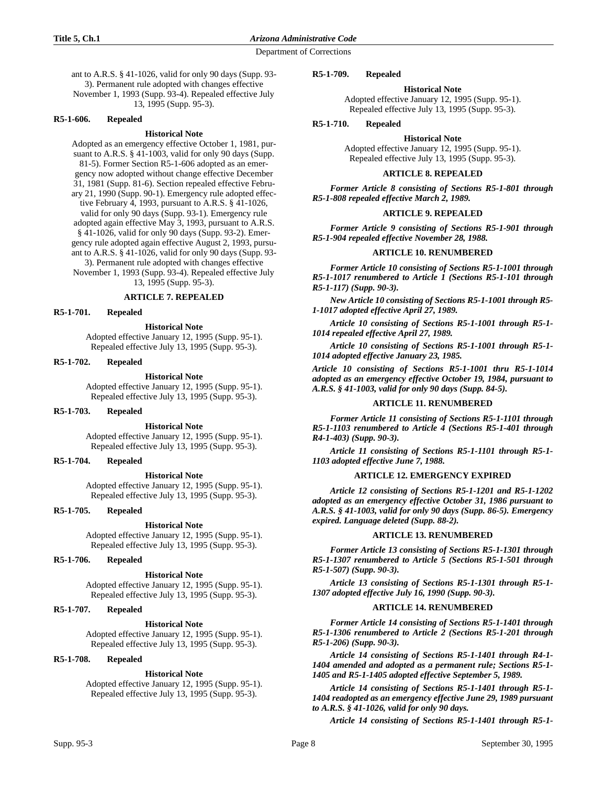ant to A.R.S. § 41-1026, valid for only 90 days (Supp. 93- 3). Permanent rule adopted with changes effective November 1, 1993 (Supp. 93-4). Repealed effective July 13, 1995 (Supp. 95-3).

## **R5-1-606. Repealed**

#### **Historical Note**

Adopted as an emergency effective October 1, 1981, pursuant to A.R.S. § 41-1003, valid for only 90 days (Supp. 81-5). Former Section R5-1-606 adopted as an emergency now adopted without change effective December 31, 1981 (Supp. 81-6). Section repealed effective February 21, 1990 (Supp. 90-1). Emergency rule adopted effective February 4, 1993, pursuant to A.R.S. § 41-1026, valid for only 90 days (Supp. 93-1). Emergency rule adopted again effective May 3, 1993, pursuant to A.R.S. § 41-1026, valid for only 90 days (Supp. 93-2). Emergency rule adopted again effective August 2, 1993, pursuant to A.R.S. § 41-1026, valid for only 90 days (Supp. 93- 3). Permanent rule adopted with changes effective November 1, 1993 (Supp. 93-4). Repealed effective July 13, 1995 (Supp. 95-3).

## **ARTICLE 7. REPEALED**

**R5-1-701. Repealed**

#### **Historical Note**

Adopted effective January 12, 1995 (Supp. 95-1). Repealed effective July 13, 1995 (Supp. 95-3).

# **R5-1-702. Repealed**

**Historical Note** Adopted effective January 12, 1995 (Supp. 95-1). Repealed effective July 13, 1995 (Supp. 95-3).

## **R5-1-703. Repealed**

#### **Historical Note**

Adopted effective January 12, 1995 (Supp. 95-1). Repealed effective July 13, 1995 (Supp. 95-3).

## **R5-1-704. Repealed**

**Historical Note** Adopted effective January 12, 1995 (Supp. 95-1). Repealed effective July 13, 1995 (Supp. 95-3).

## **R5-1-705. Repealed**

## **Historical Note**

Adopted effective January 12, 1995 (Supp. 95-1). Repealed effective July 13, 1995 (Supp. 95-3).

#### **R5-1-706. Repealed**

#### **Historical Note**

Adopted effective January 12, 1995 (Supp. 95-1). Repealed effective July 13, 1995 (Supp. 95-3).

#### **R5-1-707. Repealed**

## **Historical Note**

Adopted effective January 12, 1995 (Supp. 95-1). Repealed effective July 13, 1995 (Supp. 95-3).

## **R5-1-708. Repealed**

#### **Historical Note**

Adopted effective January 12, 1995 (Supp. 95-1). Repealed effective July 13, 1995 (Supp. 95-3).

#### **R5-1-709. Repealed**

#### **Historical Note**

Adopted effective January 12, 1995 (Supp. 95-1). Repealed effective July 13, 1995 (Supp. 95-3).

#### **R5-1-710. Repealed**

**Historical Note**

Adopted effective January 12, 1995 (Supp. 95-1). Repealed effective July 13, 1995 (Supp. 95-3).

## **ARTICLE 8. REPEALED**

*Former Article 8 consisting of Sections R5-1-801 through R5-1-808 repealed effective March 2, 1989.*

#### **ARTICLE 9. REPEALED**

*Former Article 9 consisting of Sections R5-1-901 through R5-1-904 repealed effective November 28, 1988.*

#### **ARTICLE 10. RENUMBERED**

*Former Article 10 consisting of Sections R5-1-1001 through R5-1-1017 renumbered to Article 1 (Sections R5-1-101 through R5-1-117) (Supp. 90-3).*

*New Article 10 consisting of Sections R5-1-1001 through R5- 1-1017 adopted effective April 27, 1989.*

*Article 10 consisting of Sections R5-1-1001 through R5-1- 1014 repealed effective April 27, 1989.*

*Article 10 consisting of Sections R5-1-1001 through R5-1- 1014 adopted effective January 23, 1985.*

*Article 10 consisting of Sections R5-1-1001 thru R5-1-1014 adopted as an emergency effective October 19, 1984, pursuant to A.R.S. § 41-1003, valid for only 90 days (Supp. 84-5).*

## **ARTICLE 11. RENUMBERED**

*Former Article 11 consisting of Sections R5-1-1101 through R5-1-1103 renumbered to Article 4 (Sections R5-1-401 through R4-1-403) (Supp. 90-3).*

*Article 11 consisting of Sections R5-1-1101 through R5-1- 1103 adopted effective June 7, 1988.*

## **ARTICLE 12. EMERGENCY EXPIRED**

*Article 12 consisting of Sections R5-1-1201 and R5-1-1202 adopted as an emergency effective October 31, 1986 pursuant to A.R.S. § 41-1003, valid for only 90 days (Supp. 86-5). Emergency expired. Language deleted (Supp. 88-2).*

#### **ARTICLE 13. RENUMBERED**

*Former Article 13 consisting of Sections R5-1-1301 through R5-1-1307 renumbered to Article 5 (Sections R5-1-501 through R5-1-507) (Supp. 90-3).*

*Article 13 consisting of Sections R5-1-1301 through R5-1- 1307 adopted effective July 16, 1990 (Supp. 90-3).*

#### **ARTICLE 14. RENUMBERED**

*Former Article 14 consisting of Sections R5-1-1401 through R5-1-1306 renumbered to Article 2 (Sections R5-1-201 through R5-1-206) (Supp. 90-3).*

*Article 14 consisting of Sections R5-1-1401 through R4-1- 1404 amended and adopted as a permanent rule; Sections R5-1- 1405 and R5-1-1405 adopted effective September 5, 1989.*

*Article 14 consisting of Sections R5-1-1401 through R5-1- 1404 readopted as an emergency effective June 29, 1989 pursuant to A.R.S. § 41-1026, valid for only 90 days.*

*Article 14 consisting of Sections R5-1-1401 through R5-1-*